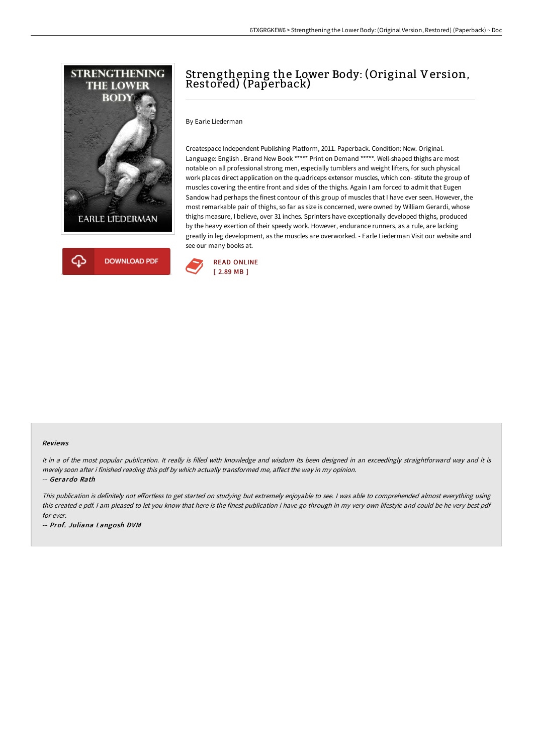

# Strengthening the Lower Body: (Original Version, Restored) (Paperback)

By Earle Liederman

Createspace Independent Publishing Platform, 2011. Paperback. Condition: New. Original. Language: English . Brand New Book \*\*\*\*\* Print on Demand \*\*\*\*\*. Well-shaped thighs are most notable on all professional strong men, especially tumblers and weight lifters, for such physical work places direct application on the quadriceps extensor muscles, which con- stitute the group of muscles covering the entire front and sides of the thighs. Again I am forced to admit that Eugen Sandow had perhaps the finest contour of this group of muscles that I have ever seen. However, the most remarkable pair of thighs, so far as size is concerned, were owned by William Gerardi, whose thighs measure, I believe, over 31 inches. Sprinters have exceptionally developed thighs, produced by the heavy exertion of their speedy work. However, endurance runners, as a rule, are lacking greatly in leg development, as the muscles are overworked. - Earle Liederman Visit our website and see our many books at.



#### Reviews

It in a of the most popular publication. It really is filled with knowledge and wisdom Its been designed in an exceedingly straightforward way and it is merely soon after i finished reading this pdf by which actually transformed me, affect the way in my opinion. -- Gerardo Rath

This publication is definitely not effortless to get started on studying but extremely enjoyable to see. I was able to comprehended almost everything using this created <sup>e</sup> pdf. <sup>I</sup> am pleased to let you know that here is the finest publication i have go through in my very own lifestyle and could be he very best pdf for ever.

-- Prof. Juliana Langosh DVM